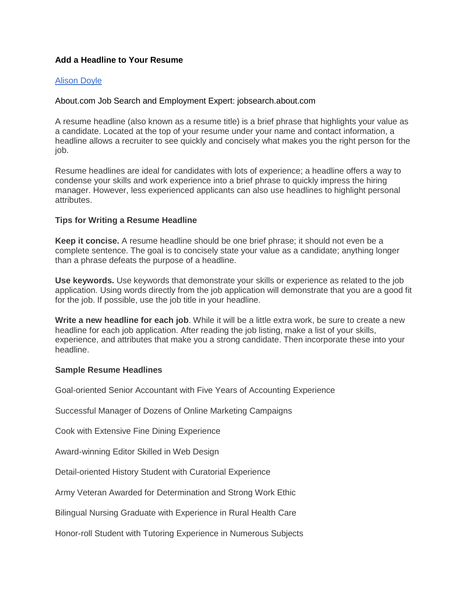# **Add a Headline to Your Resume**

### [Alison Doyle](http://www.linkedin.com/profile/view?id=2101127&goback=%2Egde_98687_member_5798891732770762754)

## About.com Job Search and Employment Expert: jobsearch.about.com

A resume headline (also known as a resume title) is a brief phrase that highlights your value as a candidate. Located at the top of your resume under your name and contact information, a headline allows a recruiter to see quickly and concisely what makes you the right person for the job.

Resume headlines are ideal for candidates with lots of experience; a headline offers a way to condense your skills and work experience into a brief phrase to quickly impress the hiring manager. However, less experienced applicants can also use headlines to highlight personal attributes.

## **Tips for Writing a Resume Headline**

**Keep it concise.** A resume headline should be one brief phrase; it should not even be a complete sentence. The goal is to concisely state your value as a candidate; anything longer than a phrase defeats the purpose of a headline.

**Use keywords.** Use keywords that demonstrate your skills or experience as related to the job application. Using words directly from the job application will demonstrate that you are a good fit for the job. If possible, use the job title in your headline.

**Write a new headline for each job**. While it will be a little extra work, be sure to create a new headline for each job application. After reading the job listing, make a list of your skills, experience, and attributes that make you a strong candidate. Then incorporate these into your headline.

### **Sample Resume Headlines**

Goal-oriented Senior Accountant with Five Years of Accounting Experience

Successful Manager of Dozens of Online Marketing Campaigns

Cook with Extensive Fine Dining Experience

Award-winning Editor Skilled in Web Design

Detail-oriented History Student with Curatorial Experience

Army Veteran Awarded for Determination and Strong Work Ethic

Bilingual Nursing Graduate with Experience in Rural Health Care

Honor-roll Student with Tutoring Experience in Numerous Subjects